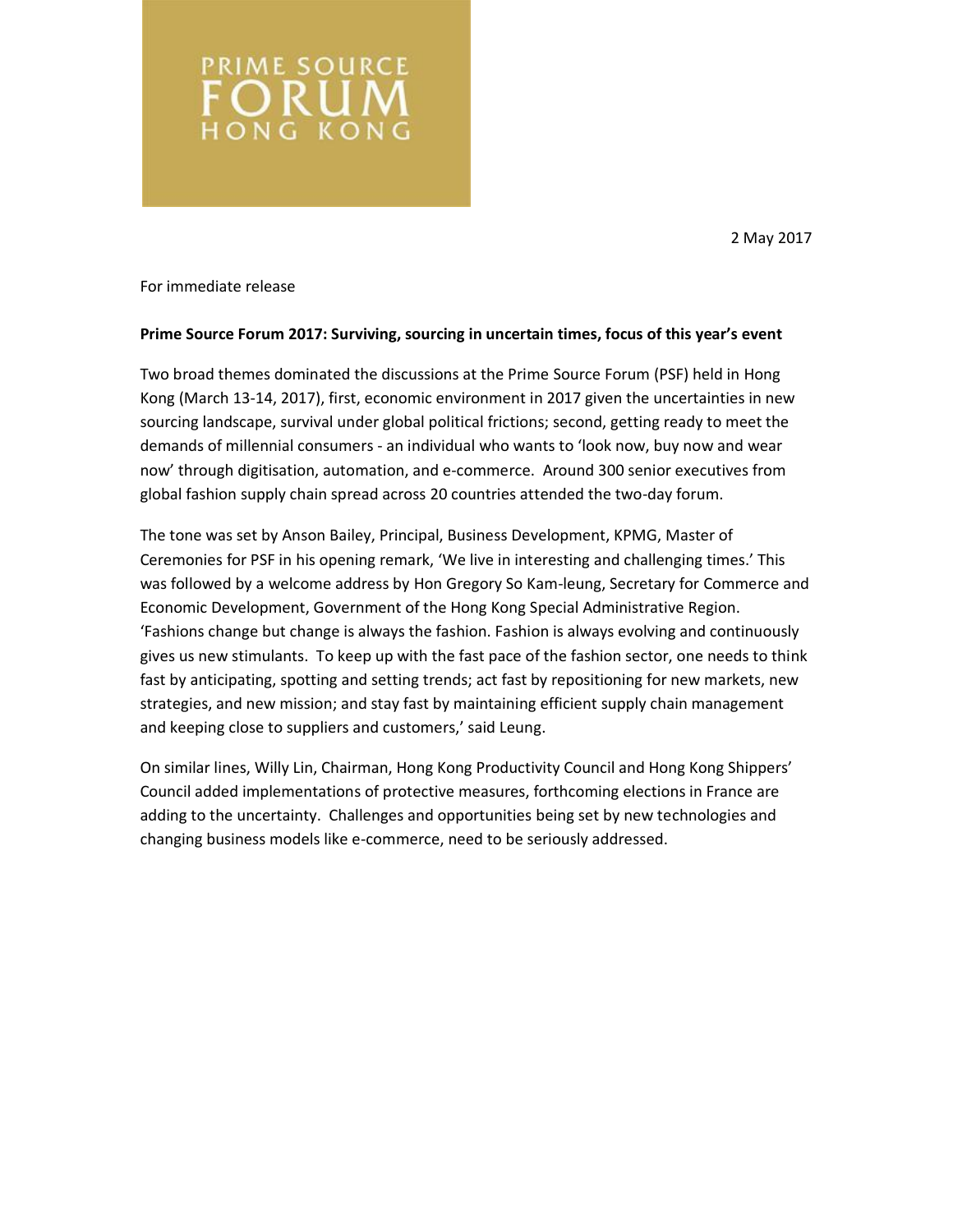2 May 2017

For immediate release

PRIME SOURCE ORUN **HONG KONG** 

### **Prime Source Forum 2017: Surviving, sourcing in uncertain times, focus of this year's event**

Two broad themes dominated the discussions at the Prime Source Forum (PSF) held in Hong Kong (March 13-14, 2017), first, economic environment in 2017 given the uncertainties in new sourcing landscape, survival under global political frictions; second, getting ready to meet the demands of millennial consumers - an individual who wants to 'look now, buy now and wear now' through digitisation, automation, and e-commerce. Around 300 senior executives from global fashion supply chain spread across 20 countries attended the two-day forum.

The tone was set by Anson Bailey, Principal, Business Development, KPMG, Master of Ceremonies for PSF in his opening remark, 'We live in interesting and challenging times.' This was followed by a welcome address by Hon Gregory So Kam-leung, Secretary for Commerce and Economic Development, Government of the Hong Kong Special Administrative Region. 'Fashions change but change is always the fashion. Fashion is always evolving and continuously gives us new stimulants. To keep up with the fast pace of the fashion sector, one needs to think fast by anticipating, spotting and setting trends; act fast by repositioning for new markets, new strategies, and new mission; and stay fast by maintaining efficient supply chain management and keeping close to suppliers and customers,' said Leung.

On similar lines, Willy Lin, Chairman, Hong Kong Productivity Council and Hong Kong Shippers' Council added implementations of protective measures, forthcoming elections in France are adding to the uncertainty. Challenges and opportunities being set by new technologies and changing business models like e-commerce, need to be seriously addressed.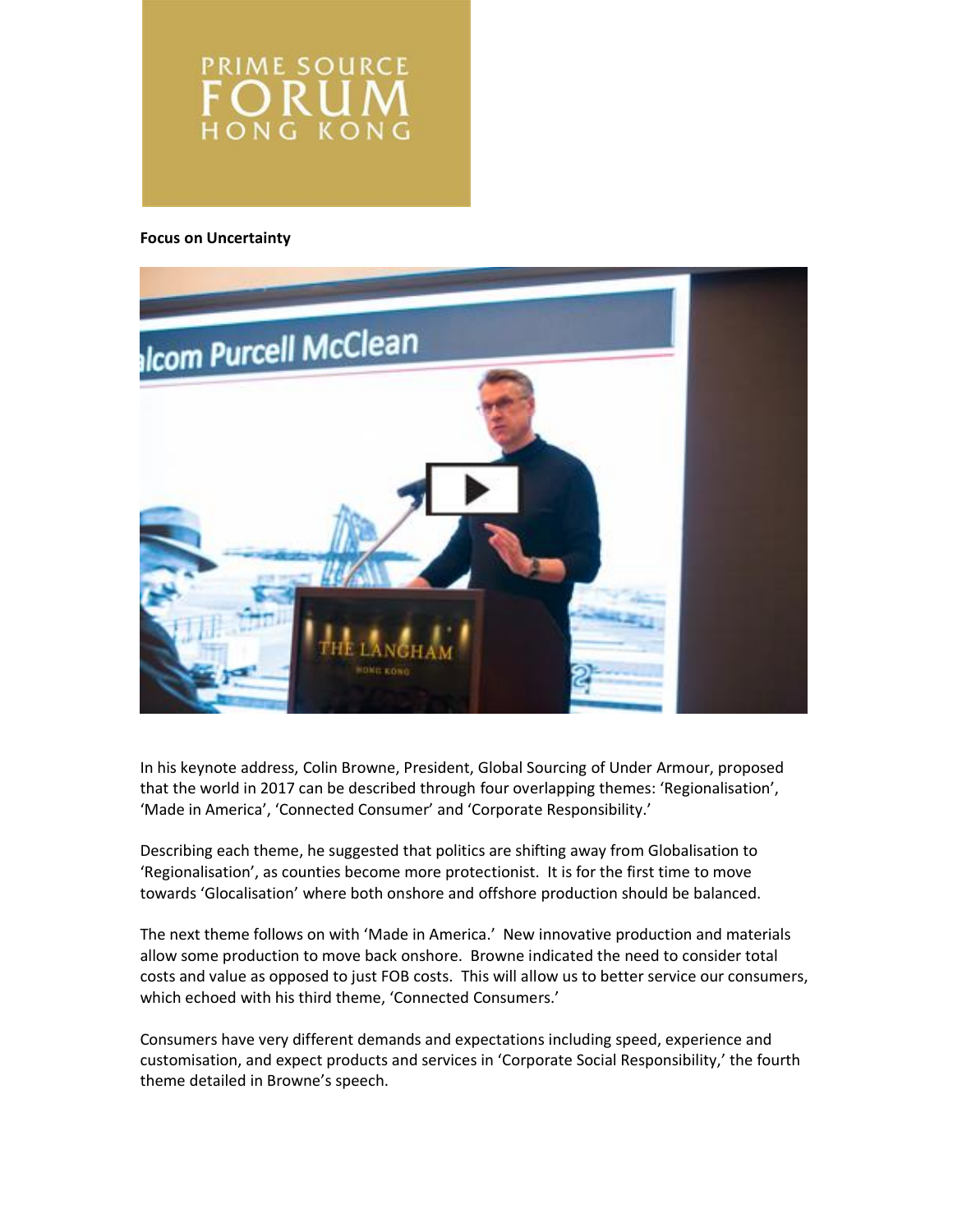**PRIME SOURCE** ORU ONG KON

#### **Focus on Uncertainty**



In his keynote address, Colin Browne, President, Global Sourcing of Under Armour, proposed that the world in 2017 can be described through four overlapping themes: 'Regionalisation', 'Made in America', 'Connected Consumer' and 'Corporate Responsibility.'

Describing each theme, he suggested that politics are shifting away from Globalisation to 'Regionalisation', as counties become more protectionist. It is for the first time to move towards 'Glocalisation' where both onshore and offshore production should be balanced.

The next theme follows on with 'Made in America.' New innovative production and materials allow some production to move back onshore. Browne indicated the need to consider total costs and value as opposed to just FOB costs. This will allow us to better service our consumers, which echoed with his third theme, 'Connected Consumers.'

Consumers have very different demands and expectations including speed, experience and customisation, and expect products and services in 'Corporate Social Responsibility,' the fourth theme detailed in Browne's speech.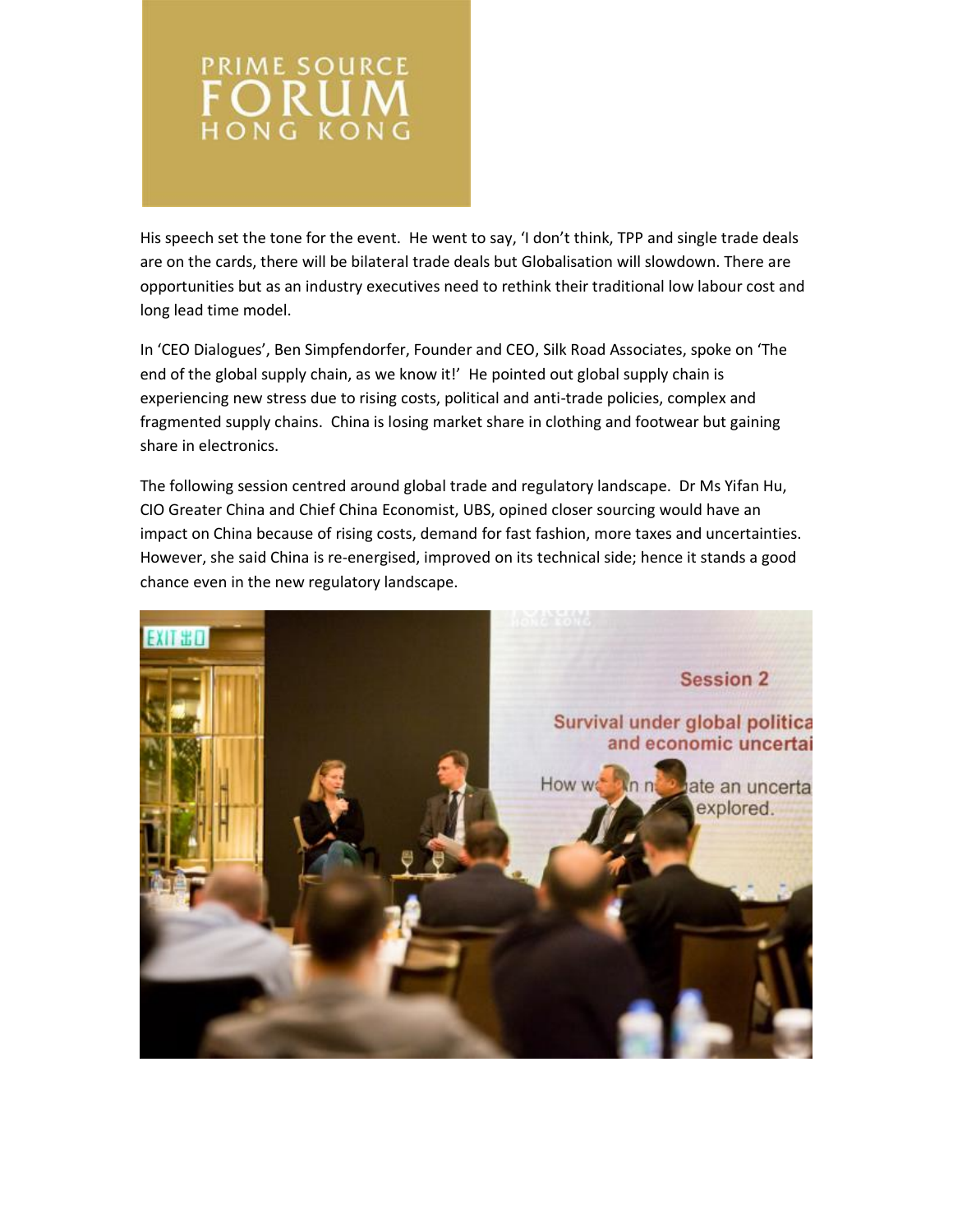

His speech set the tone for the event. He went to say, 'I don't think, TPP and single trade deals are on the cards, there will be bilateral trade deals but Globalisation will slowdown. There are opportunities but as an industry executives need to rethink their traditional low labour cost and long lead time model.

In 'CEO Dialogues', Ben Simpfendorfer, Founder and CEO, Silk Road Associates, spoke on 'The end of the global supply chain, as we know it!' He pointed out global supply chain is experiencing new stress due to rising costs, political and anti-trade policies, complex and fragmented supply chains. China is losing market share in clothing and footwear but gaining share in electronics.

The following session centred around global trade and regulatory landscape. Dr Ms Yifan Hu, CIO Greater China and Chief China Economist, UBS, opined closer sourcing would have an impact on China because of rising costs, demand for fast fashion, more taxes and uncertainties. However, she said China is re-energised, improved on its technical side; hence it stands a good chance even in the new regulatory landscape.

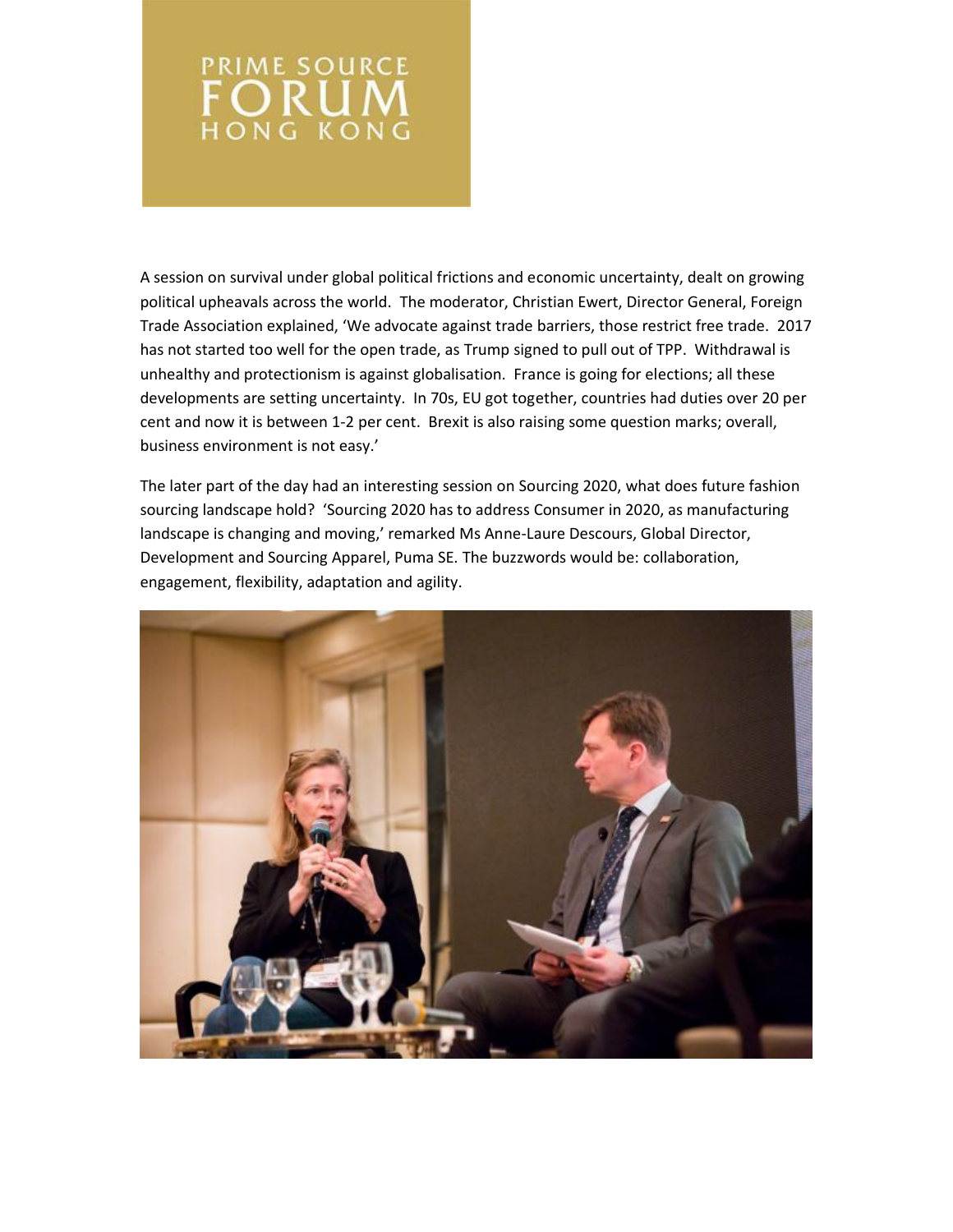# **PRIME SOURCE FORUM**

A session on survival under global political frictions and economic uncertainty, dealt on growing political upheavals across the world. The moderator, Christian Ewert, Director General, Foreign Trade Association explained, 'We advocate against trade barriers, those restrict free trade. 2017 has not started too well for the open trade, as Trump signed to pull out of TPP. Withdrawal is unhealthy and protectionism is against globalisation. France is going for elections; all these developments are setting uncertainty. In 70s, EU got together, countries had duties over 20 per cent and now it is between 1-2 per cent. Brexit is also raising some question marks; overall, business environment is not easy.'

The later part of the day had an interesting session on Sourcing 2020, what does future fashion sourcing landscape hold? 'Sourcing 2020 has to address Consumer in 2020, as manufacturing landscape is changing and moving,' remarked Ms Anne-Laure Descours, Global Director, Development and Sourcing Apparel, Puma SE. The buzzwords would be: collaboration, engagement, flexibility, adaptation and agility.

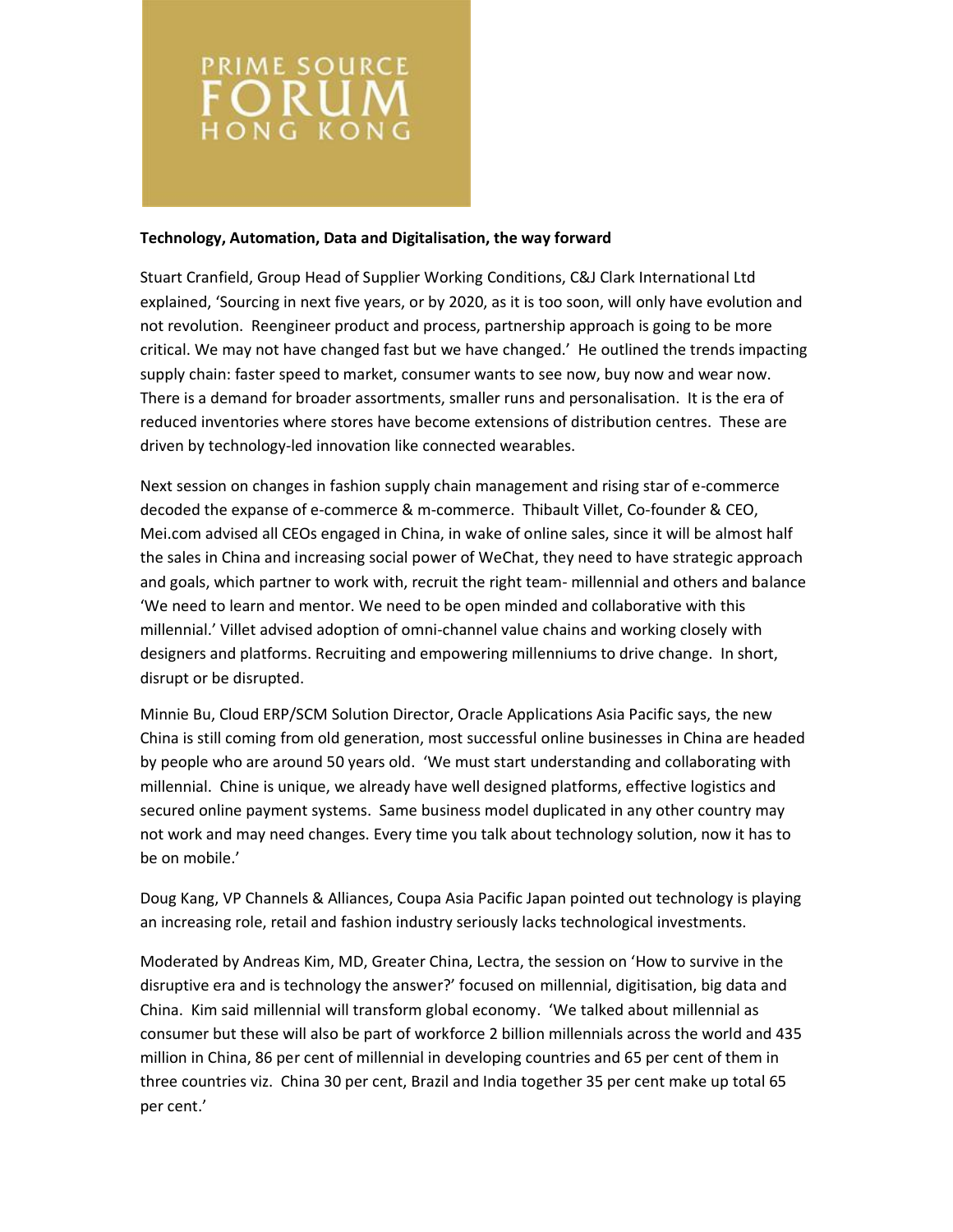

### **Technology, Automation, Data and Digitalisation, the way forward**

Stuart Cranfield, Group Head of Supplier Working Conditions, C&J Clark International Ltd explained, 'Sourcing in next five years, or by 2020, as it is too soon, will only have evolution and not revolution. Reengineer product and process, partnership approach is going to be more critical. We may not have changed fast but we have changed.' He outlined the trends impacting supply chain: faster speed to market, consumer wants to see now, buy now and wear now. There is a demand for broader assortments, smaller runs and personalisation. It is the era of reduced inventories where stores have become extensions of distribution centres. These are driven by technology-led innovation like connected wearables.

Next session on changes in fashion supply chain management and rising star of e-commerce decoded the expanse of e-commerce & m-commerce. Thibault Villet, Co-founder & CEO, Mei.com advised all CEOs engaged in China, in wake of online sales, since it will be almost half the sales in China and increasing social power of WeChat, they need to have strategic approach and goals, which partner to work with, recruit the right team- millennial and others and balance 'We need to learn and mentor. We need to be open minded and collaborative with this millennial.' Villet advised adoption of omni-channel value chains and working closely with designers and platforms. Recruiting and empowering millenniums to drive change. In short, disrupt or be disrupted.

Minnie Bu, Cloud ERP/SCM Solution Director, Oracle Applications Asia Pacific says, the new China is still coming from old generation, most successful online businesses in China are headed by people who are around 50 years old. 'We must start understanding and collaborating with millennial. Chine is unique, we already have well designed platforms, effective logistics and secured online payment systems. Same business model duplicated in any other country may not work and may need changes. Every time you talk about technology solution, now it has to be on mobile.'

Doug Kang, VP Channels & Alliances, Coupa Asia Pacific Japan pointed out technology is playing an increasing role, retail and fashion industry seriously lacks technological investments.

Moderated by Andreas Kim, MD, Greater China, Lectra, the session on 'How to survive in the disruptive era and is technology the answer?' focused on millennial, digitisation, big data and China. Kim said millennial will transform global economy. 'We talked about millennial as consumer but these will also be part of workforce 2 billion millennials across the world and 435 million in China, 86 per cent of millennial in developing countries and 65 per cent of them in three countries viz. China 30 per cent, Brazil and India together 35 per cent make up total 65 per cent.'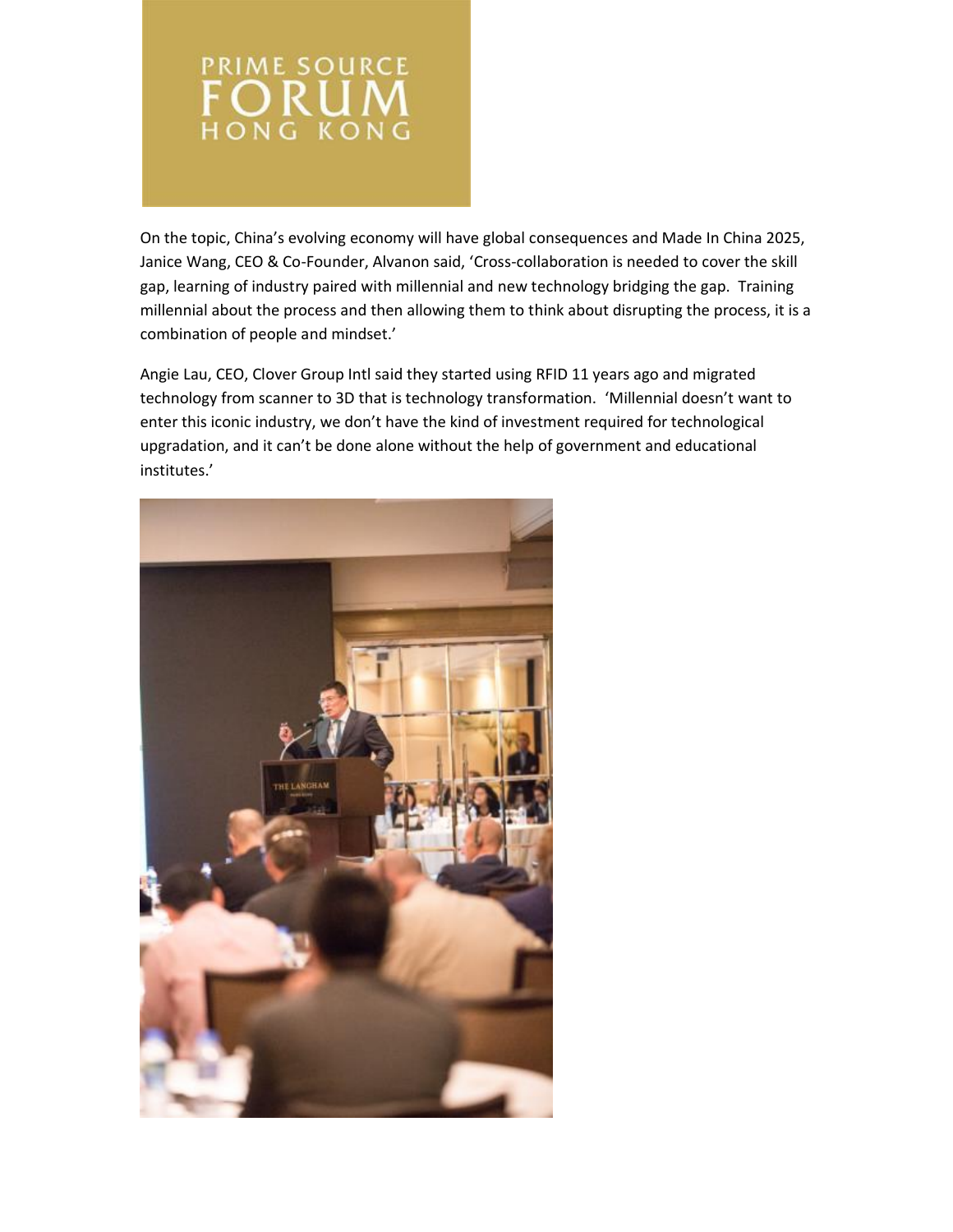

On the topic, China's evolving economy will have global consequences and Made In China 2025, Janice Wang, CEO & Co-Founder, Alvanon said, 'Cross-collaboration is needed to cover the skill gap, learning of industry paired with millennial and new technology bridging the gap. Training millennial about the process and then allowing them to think about disrupting the process, it is a combination of people and mindset.'

Angie Lau, CEO, Clover Group Intl said they started using RFID 11 years ago and migrated technology from scanner to 3D that is technology transformation. 'Millennial doesn't want to enter this iconic industry, we don't have the kind of investment required for technological upgradation, and it can't be done alone without the help of government and educational institutes.'

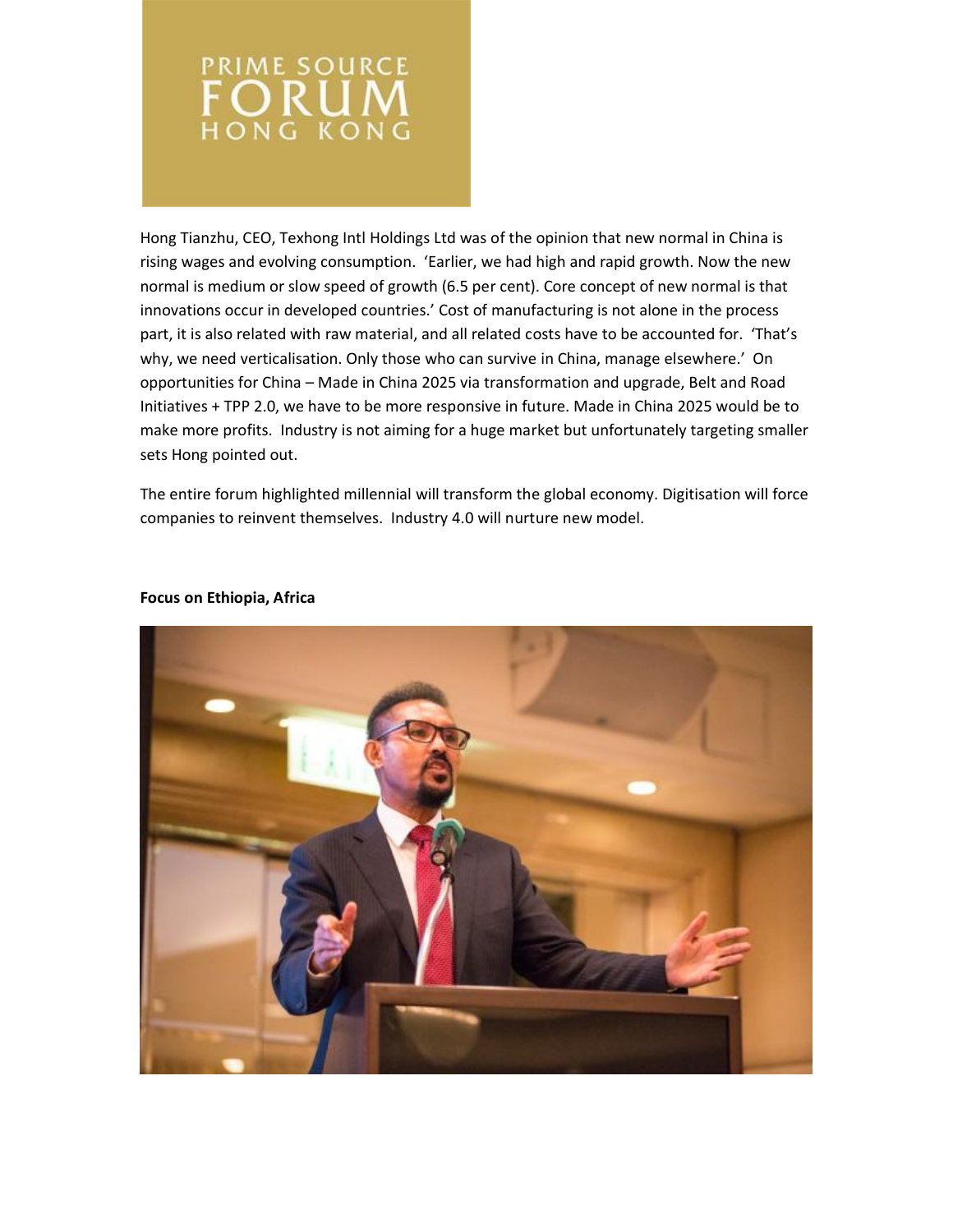

Hong Tianzhu, CEO, Texhong Intl Holdings Ltd was of the opinion that new normal in China is rising wages and evolving consumption. 'Earlier, we had high and rapid growth. Now the new normal is medium or slow speed of growth (6.5 per cent). Core concept of new normal is that innovations occur in developed countries.' Cost of manufacturing is not alone in the process part, it is also related with raw material, and all related costs have to be accounted for. 'That's why, we need verticalisation. Only those who can survive in China, manage elsewhere.' On opportunities for China – Made in China 2025 via transformation and upgrade, Belt and Road Initiatives + TPP 2.0, we have to be more responsive in future. Made in China 2025 would be to make more profits. Industry is not aiming for a huge market but unfortunately targeting smaller sets Hong pointed out.

The entire forum highlighted millennial will transform the global economy. Digitisation will force companies to reinvent themselves. Industry 4.0 will nurture new model.



### **Focus on Ethiopia, Africa**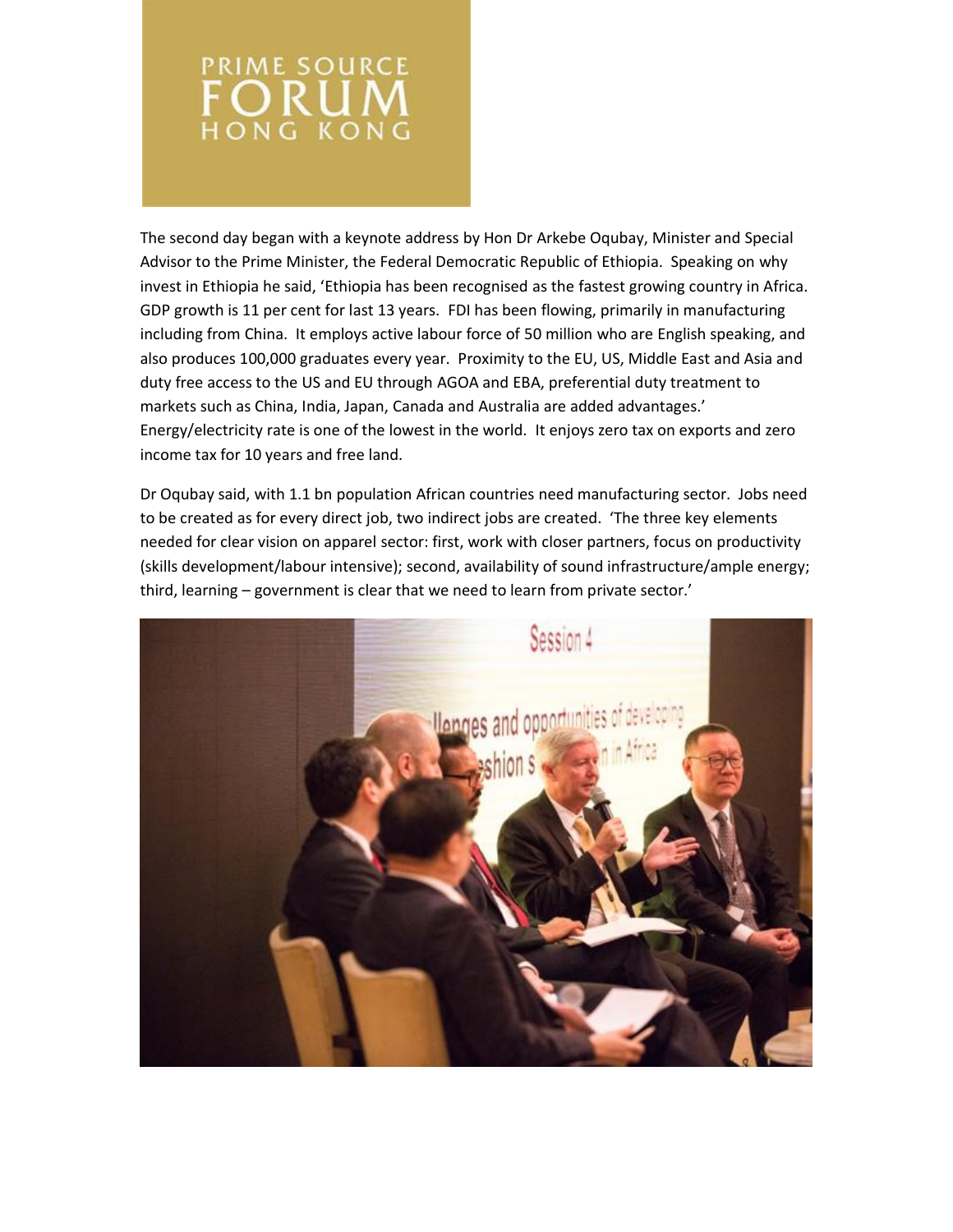

The second day began with a keynote address by Hon Dr Arkebe Oqubay, Minister and Special Advisor to the Prime Minister, the Federal Democratic Republic of Ethiopia. Speaking on why invest in Ethiopia he said, 'Ethiopia has been recognised as the fastest growing country in Africa. GDP growth is 11 per cent for last 13 years. FDI has been flowing, primarily in manufacturing including from China. It employs active labour force of 50 million who are English speaking, and also produces 100,000 graduates every year. Proximity to the EU, US, Middle East and Asia and duty free access to the US and EU through AGOA and EBA, preferential duty treatment to markets such as China, India, Japan, Canada and Australia are added advantages.' Energy/electricity rate is one of the lowest in the world. It enjoys zero tax on exports and zero income tax for 10 years and free land.

Dr Oqubay said, with 1.1 bn population African countries need manufacturing sector. Jobs need to be created as for every direct job, two indirect jobs are created. 'The three key elements needed for clear vision on apparel sector: first, work with closer partners, focus on productivity (skills development/labour intensive); second, availability of sound infrastructure/ample energy; third, learning – government is clear that we need to learn from private sector.'

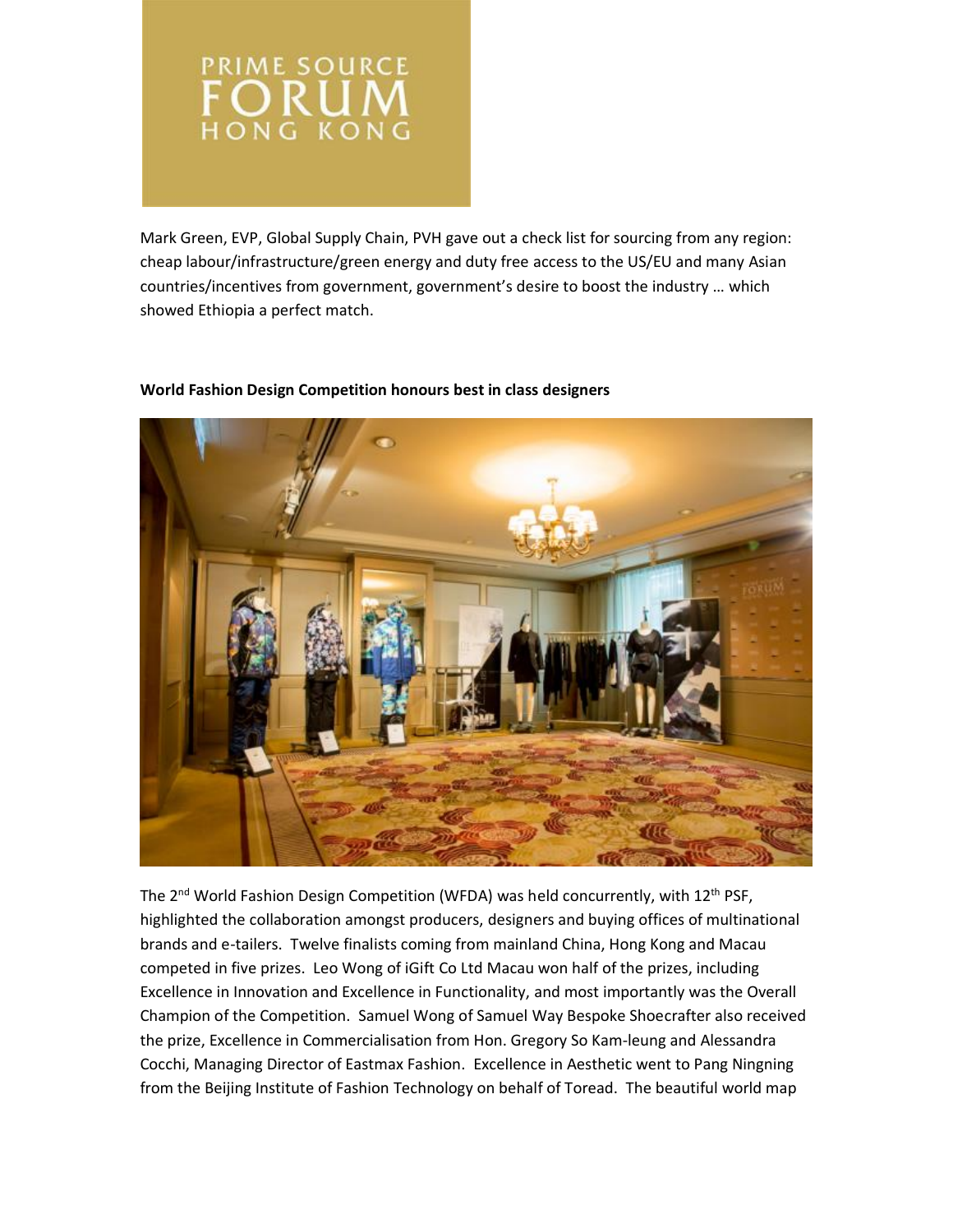

Mark Green, EVP, Global Supply Chain, PVH gave out a check list for sourcing from any region: cheap labour/infrastructure/green energy and duty free access to the US/EU and many Asian countries/incentives from government, government's desire to boost the industry … which showed Ethiopia a perfect match.



# **World Fashion Design Competition honours best in class designers**

The 2<sup>nd</sup> World Fashion Design Competition (WFDA) was held concurrently, with 12<sup>th</sup> PSF, highlighted the collaboration amongst producers, designers and buying offices of multinational brands and e-tailers. Twelve finalists coming from mainland China, Hong Kong and Macau competed in five prizes. Leo Wong of iGift Co Ltd Macau won half of the prizes, including Excellence in Innovation and Excellence in Functionality, and most importantly was the Overall Champion of the Competition. Samuel Wong of Samuel Way Bespoke Shoecrafter also received the prize, Excellence in Commercialisation from Hon. Gregory So Kam-leung and Alessandra Cocchi, Managing Director of Eastmax Fashion. Excellence in Aesthetic went to Pang Ningning from the Beijing Institute of Fashion Technology on behalf of Toread. The beautiful world map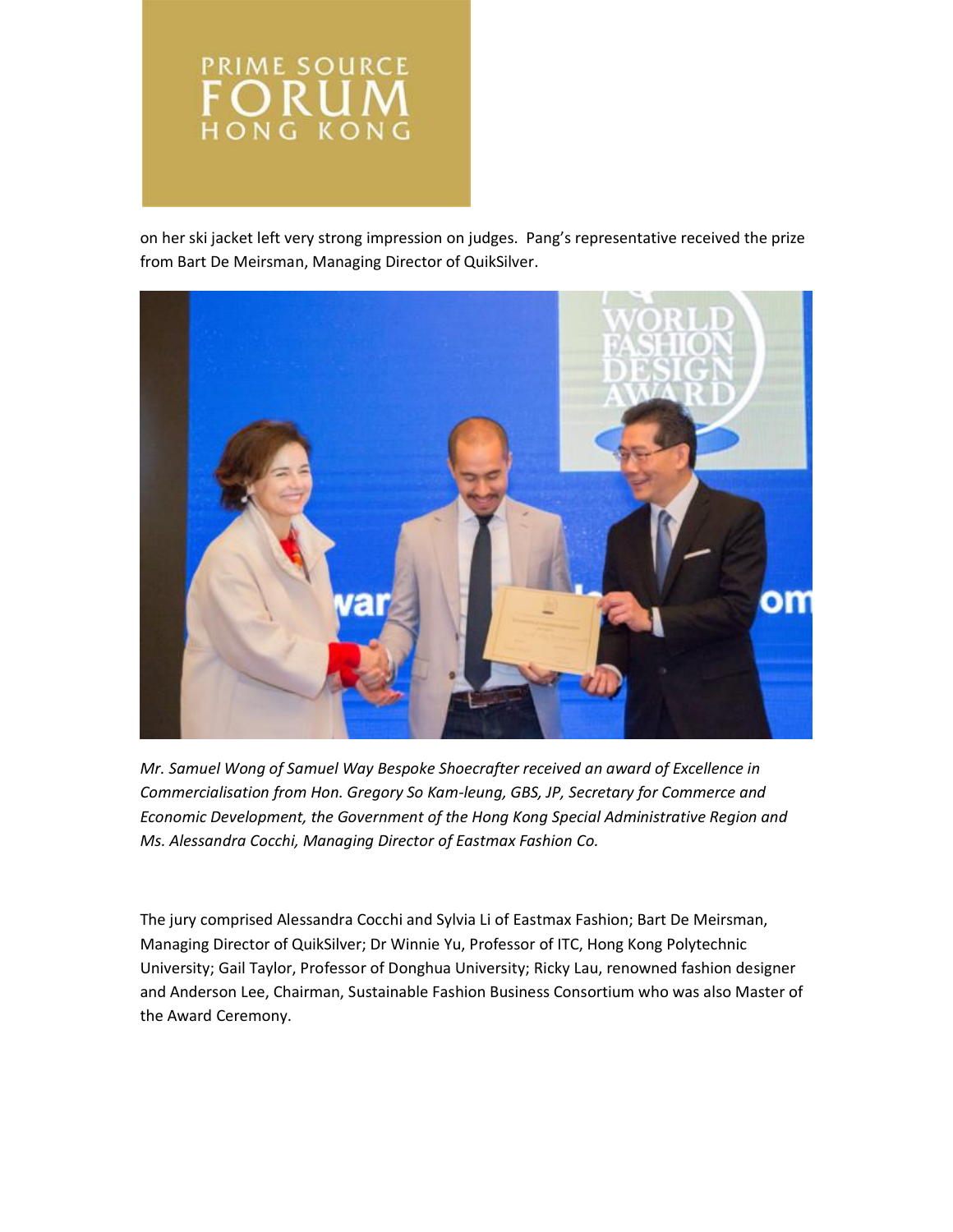

on her ski jacket left very strong impression on judges. Pang's representative received the prize from Bart De Meirsman, Managing Director of QuikSilver.



*Mr. Samuel Wong of Samuel Way Bespoke Shoecrafter received an award of Excellence in Commercialisation from Hon. Gregory So Kam-leung, GBS, JP, Secretary for Commerce and Economic Development, the Government of the Hong Kong Special Administrative Region and Ms. Alessandra Cocchi, Managing Director of Eastmax Fashion Co.*

The jury comprised Alessandra Cocchi and Sylvia Li of Eastmax Fashion; Bart De Meirsman, Managing Director of QuikSilver; Dr Winnie Yu, Professor of ITC, Hong Kong Polytechnic University; Gail Taylor, Professor of Donghua University; Ricky Lau, renowned fashion designer and Anderson Lee, Chairman, Sustainable Fashion Business Consortium who was also Master of the Award Ceremony.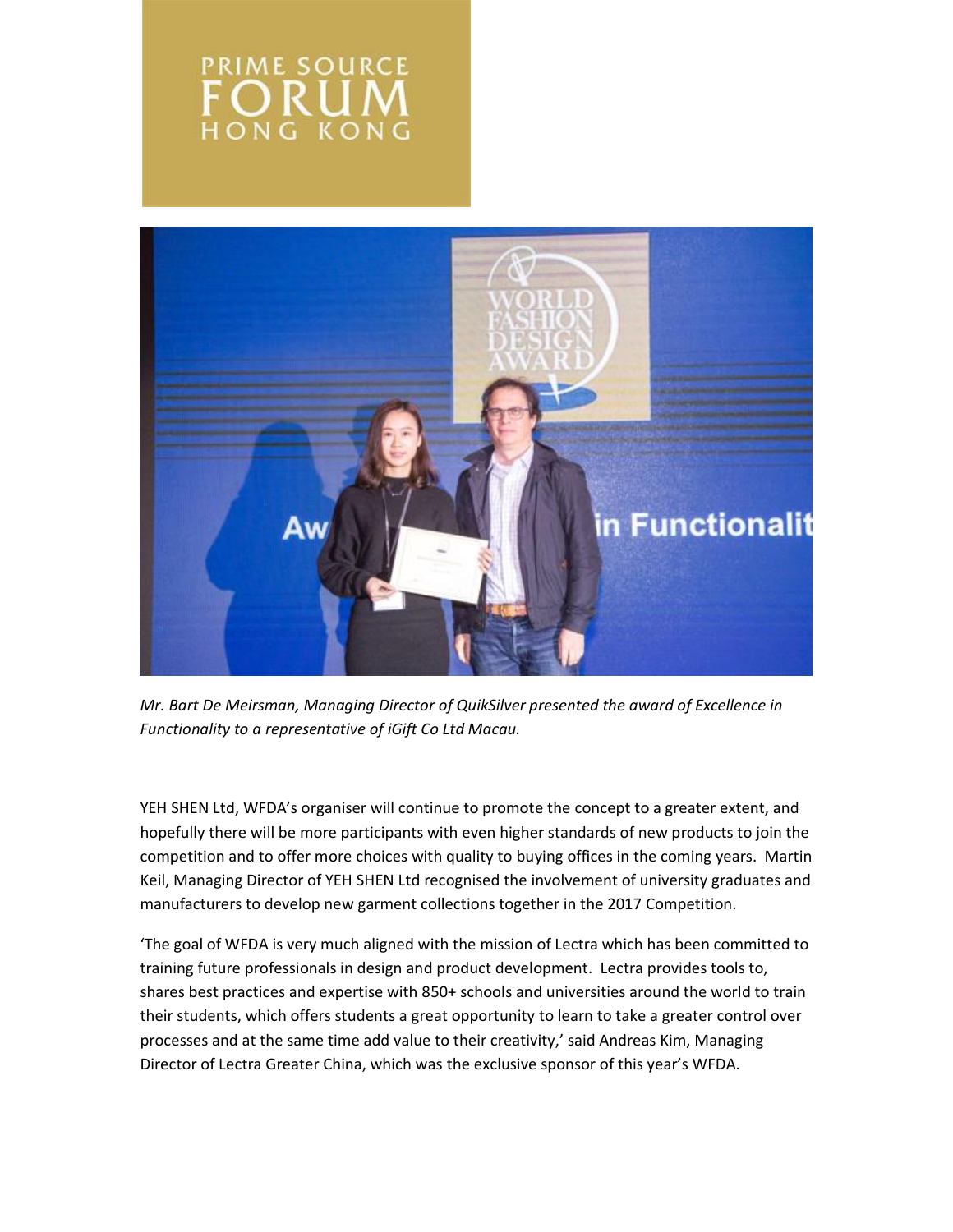# **PRIME SOURCE** ORU **HONG KONG**



*Mr. Bart De Meirsman, Managing Director of QuikSilver presented the award of Excellence in Functionality to a representative of iGift Co Ltd Macau.*

YEH SHEN Ltd, WFDA's organiser will continue to promote the concept to a greater extent, and hopefully there will be more participants with even higher standards of new products to join the competition and to offer more choices with quality to buying offices in the coming years. Martin Keil, Managing Director of YEH SHEN Ltd recognised the involvement of university graduates and manufacturers to develop new garment collections together in the 2017 Competition.

'The goal of WFDA is very much aligned with the mission of Lectra which has been committed to training future professionals in design and product development. Lectra provides tools to, shares best practices and expertise with 850+ schools and universities around the world to train their students, which offers students a great opportunity to learn to take a greater control over processes and at the same time add value to their creativity,' said Andreas Kim, Managing Director of Lectra Greater China, which was the exclusive sponsor of this year's WFDA.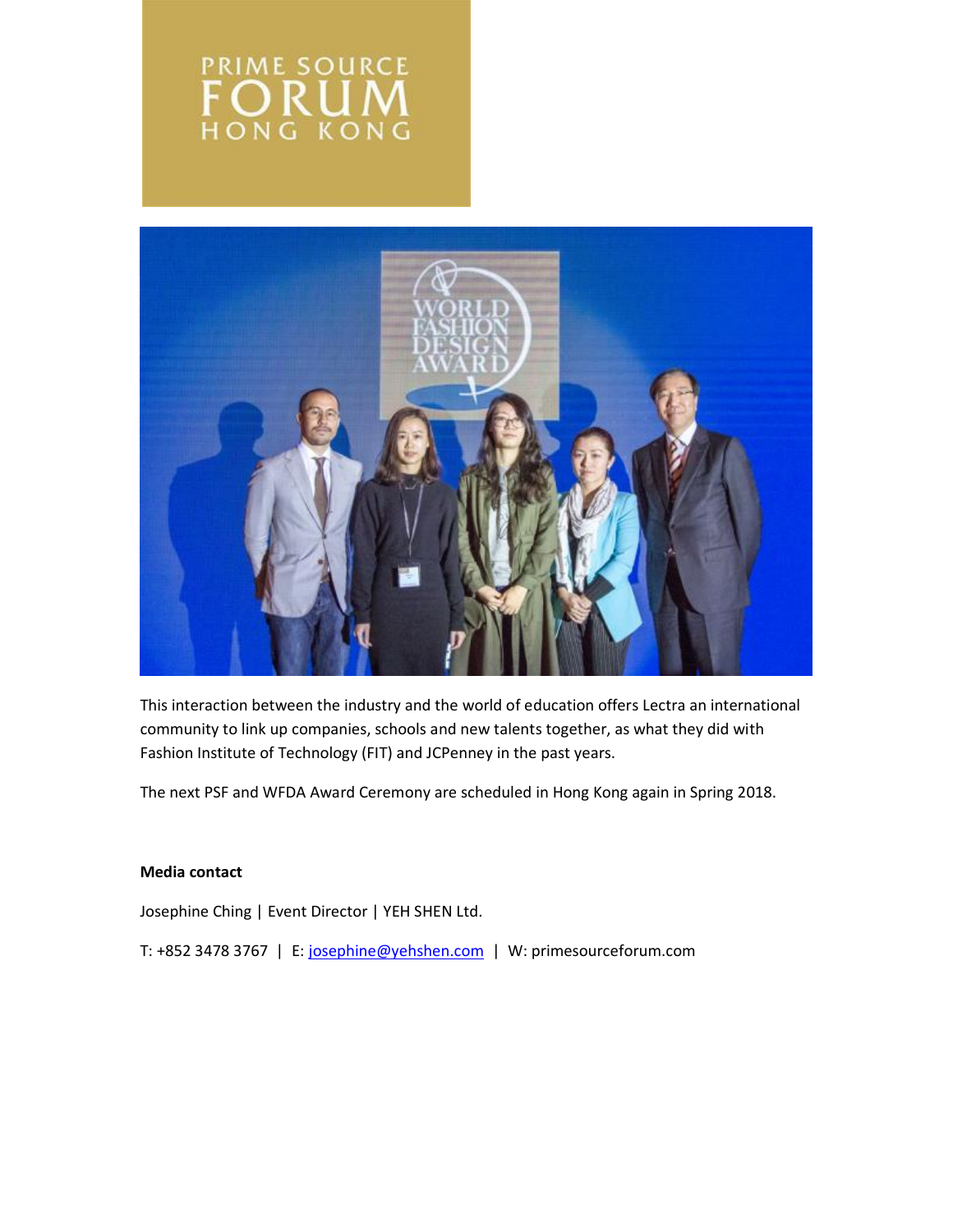# PRIME SOURCE ORU HONG KONG



This interaction between the industry and the world of education offers Lectra an international community to link up companies, schools and new talents together, as what they did with Fashion Institute of Technology (FIT) and JCPenney in the past years.

The next PSF and WFDA Award Ceremony are scheduled in Hong Kong again in Spring 2018.

### **Media contact**

Josephine Ching | Event Director | YEH SHEN Ltd.

T: +852 3478 3767 | E: [josephine@yehshen.com](mailto:josephine@yehshen.com) | W: primesourceforum.com